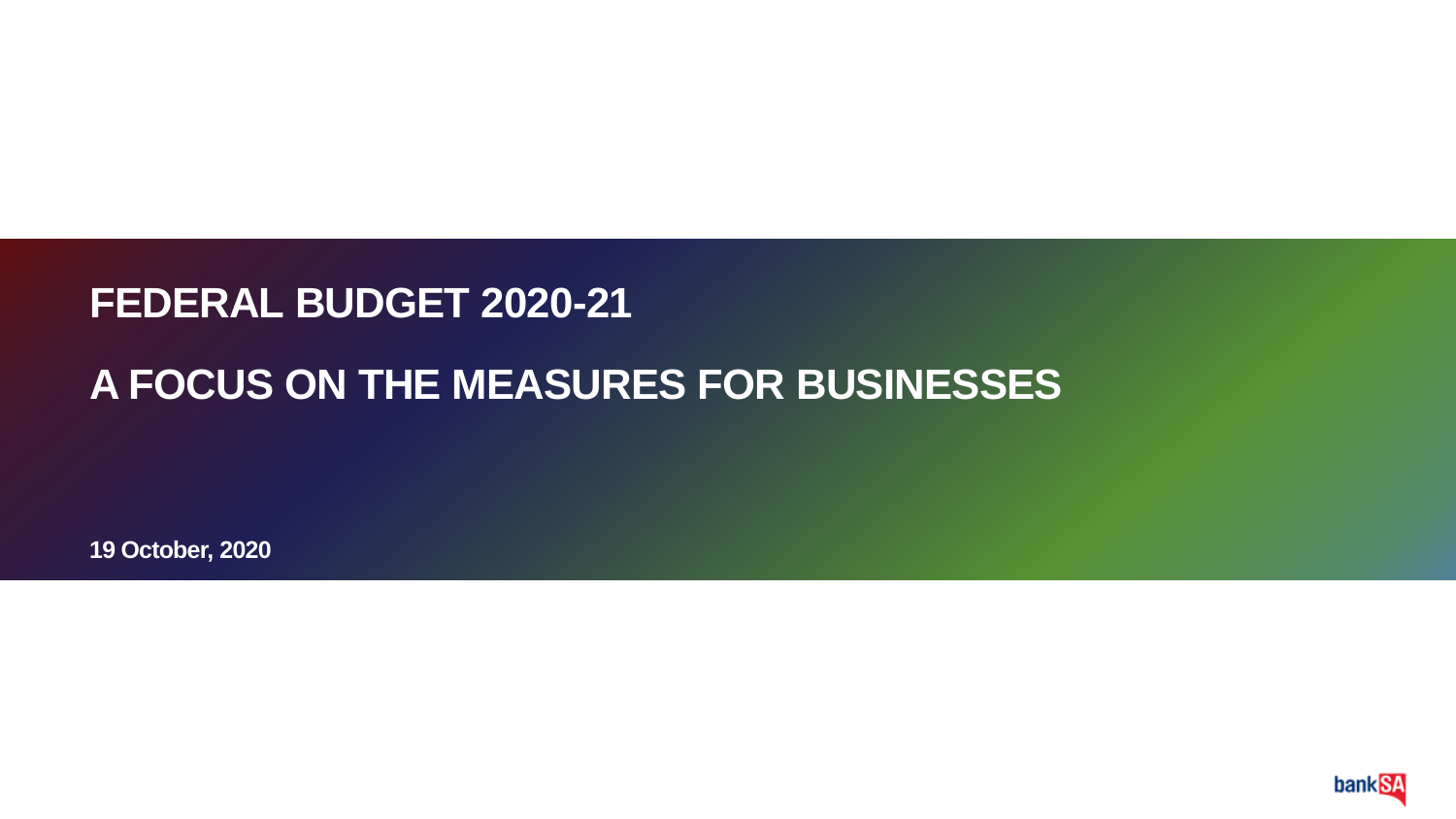#### **FEDERAL BUDGET 2020-21**

### **A FOCUS ON THE MEASURES FOR BUSINESSES**

**19 October, 2020**

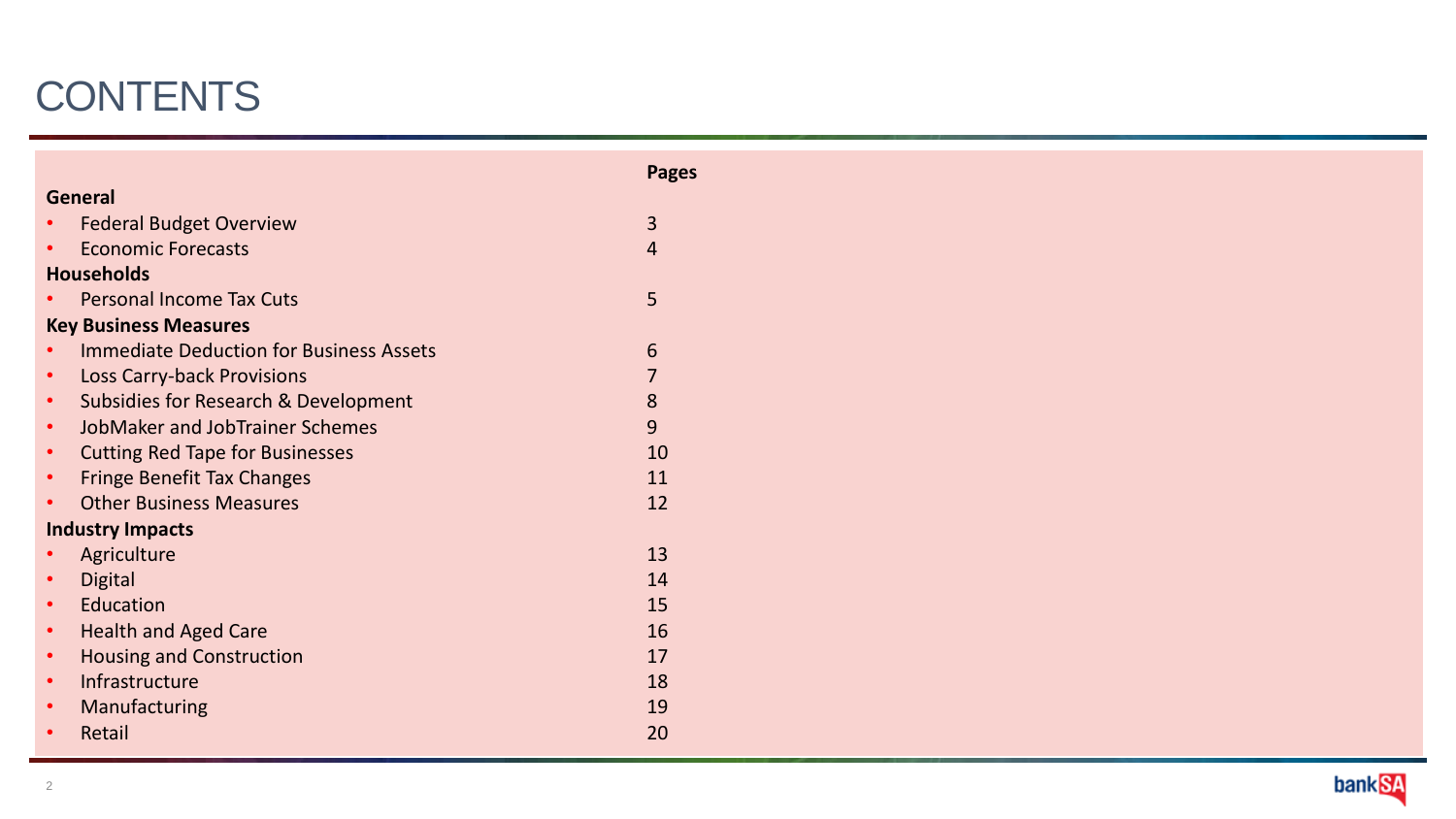# **CONTENTS**

|           |                                                 | <b>Pages</b> |
|-----------|-------------------------------------------------|--------------|
|           | <b>General</b>                                  |              |
|           | <b>Federal Budget Overview</b>                  | 3            |
|           | <b>Economic Forecasts</b>                       | 4            |
|           | <b>Households</b>                               |              |
|           | <b>Personal Income Tax Cuts</b>                 | 5            |
|           | <b>Key Business Measures</b>                    |              |
|           | <b>Immediate Deduction for Business Assets</b>  | 6            |
| $\bullet$ | Loss Carry-back Provisions                      |              |
| $\bullet$ | <b>Subsidies for Research &amp; Development</b> | 8            |
| $\bullet$ | JobMaker and JobTrainer Schemes                 | 9            |
| $\bullet$ | <b>Cutting Red Tape for Businesses</b>          | 10           |
| $\bullet$ | <b>Fringe Benefit Tax Changes</b>               | 11           |
|           | <b>Other Business Measures</b>                  | 12           |
|           | <b>Industry Impacts</b>                         |              |
|           | Agriculture                                     | 13           |
| $\bullet$ | <b>Digital</b>                                  | 14           |
| $\bullet$ | Education                                       | 15           |
| $\bullet$ | <b>Health and Aged Care</b>                     | 16           |
| $\bullet$ | <b>Housing and Construction</b>                 | 17           |
| $\bullet$ | Infrastructure                                  | 18           |
|           | Manufacturing                                   | 19           |
| $\bullet$ | Retail                                          | 20           |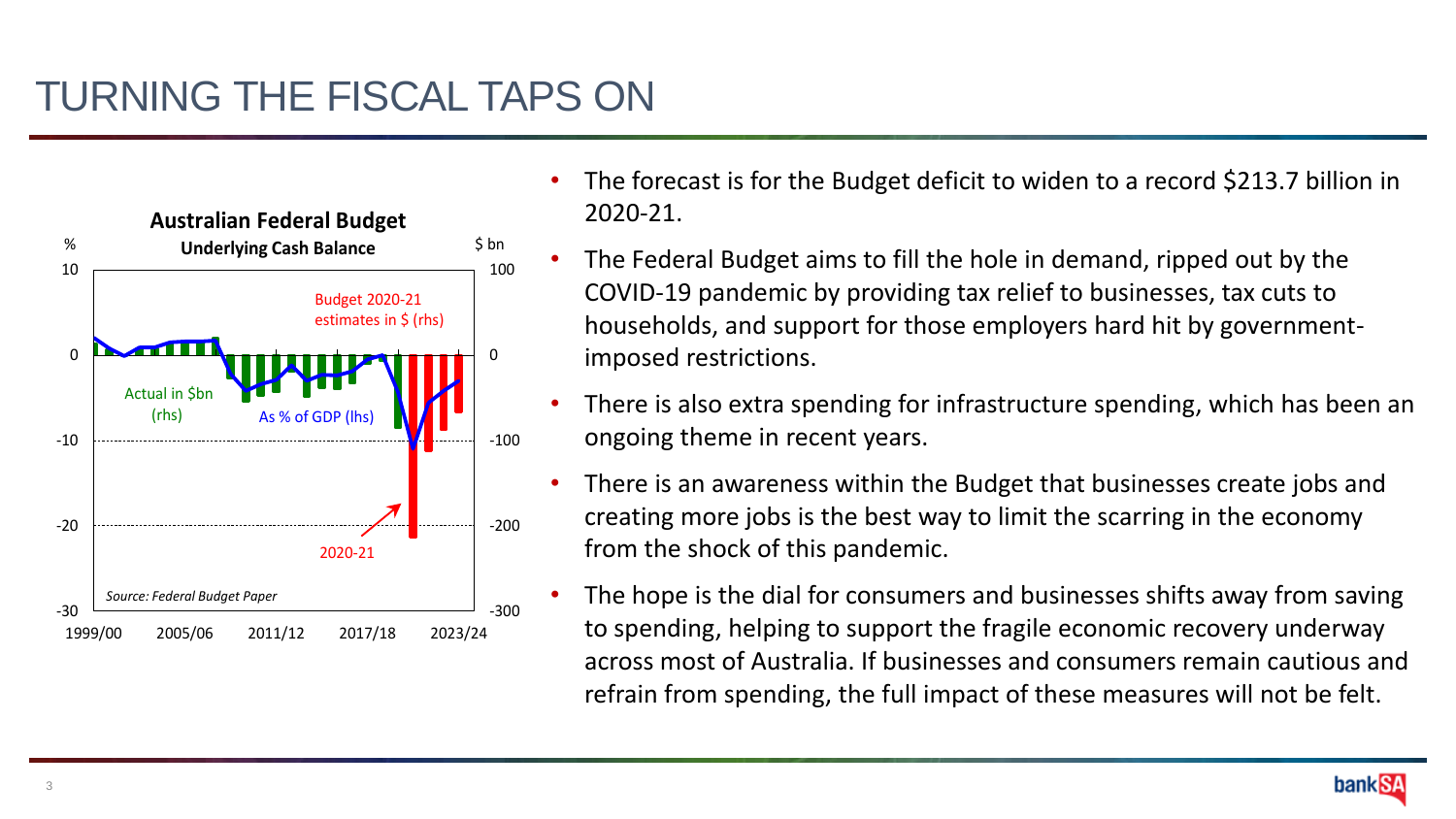

- The forecast is for the Budget deficit to widen to a record \$213.7 billion in 2020-21.
- The Federal Budget aims to fill the hole in demand, ripped out by the COVID-19 pandemic by providing tax relief to businesses, tax cuts to households, and support for those employers hard hit by governmentimposed restrictions.
- There is also extra spending for infrastructure spending, which has been an ongoing theme in recent years.
- There is an awareness within the Budget that businesses create jobs and creating more jobs is the best way to limit the scarring in the economy from the shock of this pandemic.
- The hope is the dial for consumers and businesses shifts away from saving to spending, helping to support the fragile economic recovery underway across most of Australia. If businesses and consumers remain cautious and refrain from spending, the full impact of these measures will not be felt.

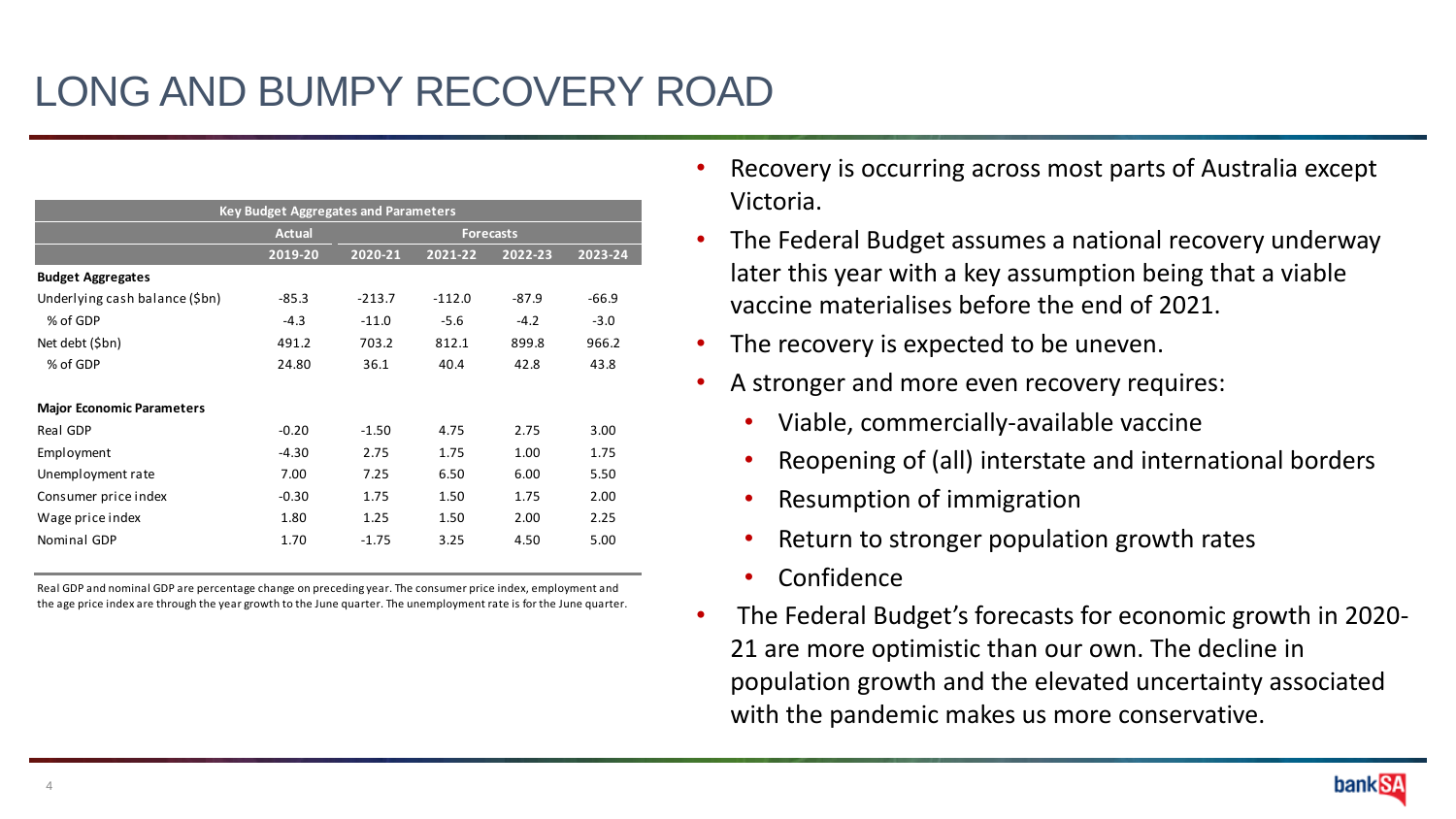|                                                                                                                                                                                                                                   | <b>Key Budget Aggregates and Parameters</b>           |                                                    |                                                |                                               |                                               |
|-----------------------------------------------------------------------------------------------------------------------------------------------------------------------------------------------------------------------------------|-------------------------------------------------------|----------------------------------------------------|------------------------------------------------|-----------------------------------------------|-----------------------------------------------|
|                                                                                                                                                                                                                                   | <b>Actual</b>                                         |                                                    |                                                | <b>Forecasts</b>                              |                                               |
| <b>Budget Aggregates</b><br>Underlying cash balance (\$bn)<br>% of GDP<br>Net debt (\$bn)<br>% of GDP                                                                                                                             | 2019-20<br>$-85.3$<br>$-4.3$<br>491.2<br>24.80        | 2020-21<br>$-213.7$<br>$-11.0$<br>703.2<br>36.1    | 2021-22<br>$-112.0$<br>$-5.6$<br>812.1<br>40.4 | 2022-23<br>$-87.9$<br>$-4.2$<br>899.8<br>42.8 | 2023-24<br>$-66.9$<br>$-3.0$<br>966.2<br>43.8 |
| <b>Major Economic Parameters</b><br>Real GDP<br>Employment<br>Unemployment rate<br>Consumer price index<br>Wage price index<br>Nominal GDP                                                                                        | $-0.20$<br>$-4.30$<br>7.00<br>$-0.30$<br>1.80<br>1.70 | $-1.50$<br>2.75<br>7.25<br>1.75<br>1.25<br>$-1.75$ | 4.75<br>1.75<br>6.50<br>1.50<br>1.50<br>3.25   | 2.75<br>1.00<br>6.00<br>1.75<br>2.00<br>4.50  | 3.00<br>1.75<br>5.50<br>2.00<br>2.25<br>5.00  |
| Real GDP and nominal GDP are percentage change on preceding year. The consumer price index, employment and<br>the age price index are through the year growth to the June quarter. The unemployment rate is for the June quarter. |                                                       |                                                    |                                                |                                               |                                               |

- Recovery is occurring across most parts of Australia except Victoria.
- The Federal Budget assumes a national recovery underway later this year with a key assumption being that a viable vaccine materialises before the end of 2021.
- The recovery is expected to be uneven.
- A stronger and more even recovery requires:
	- Viable, commercially-available vaccine
	- Reopening of (all) interstate and international borders
	- Resumption of immigration
	- Return to stronger population growth rates
	- Confidence
- The Federal Budget's forecasts for economic growth in 2020- 21 are more optimistic than our own. The decline in population growth and the elevated uncertainty associated

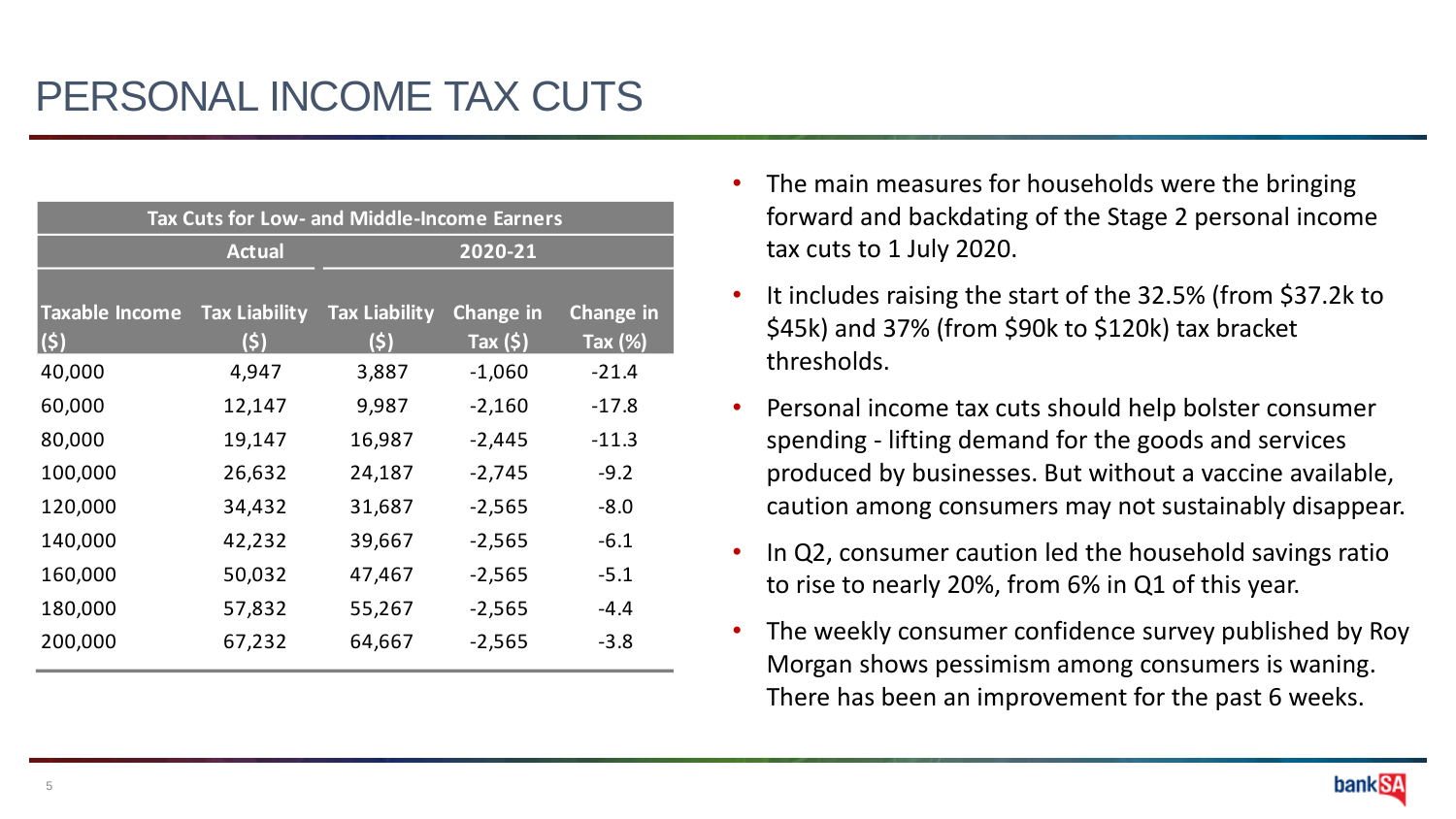| Tax Cuts for Low- and Middle-Income Earners |                      |                      |                  |                  |  |
|---------------------------------------------|----------------------|----------------------|------------------|------------------|--|
|                                             | <b>Actual</b>        |                      | 2020-21          |                  |  |
|                                             |                      |                      |                  |                  |  |
| <b>Taxable Income</b>                       | <b>Tax Liability</b> | <b>Tax Liability</b> | <b>Change in</b> | <b>Change in</b> |  |
| $\vert$ (\$)                                | (\$)                 | (\$)                 | Tax $(s)$        | <b>Tax (%)</b>   |  |
| 40,000                                      | 4,947                | 3,887                | $-1,060$         | $-21.4$          |  |
| 60,000                                      | 12,147               | 9,987                | $-2,160$         | $-17.8$          |  |
| 80,000                                      | 19,147               | 16,987               | $-2,445$         | $-11.3$          |  |
| 100,000                                     | 26,632               | 24,187               | $-2,745$         | $-9.2$           |  |
| 120,000                                     | 34,432               | 31,687               | $-2,565$         | $-8.0$           |  |
| 140,000                                     | 42,232               | 39,667               | $-2,565$         | $-6.1$           |  |
| 160,000                                     | 50,032               | 47,467               | $-2,565$         | $-5.1$           |  |
| 180,000                                     | 57,832               | 55,267               | $-2,565$         | $-4.4$           |  |
| 200,000                                     | 67,232               | 64,667               | $-2,565$         | $-3.8$           |  |

- The main measures for households were the bringing forward and backdating of the Stage 2 personal income tax cuts to 1 July 2020.
- It includes raising the start of the 32.5% (from \$37.2k to \$45k) and 37% (from \$90k to \$120k) tax bracket thresholds.
- Personal income tax cuts should help bolster consumer spending - lifting demand for the goods and services produced by businesses. But without a vaccine available, caution among consumers may not sustainably disappear.
- In Q2, consumer caution led the household savings ratio to rise to nearly 20%, from 6% in Q1 of this year.
- The weekly consumer confidence survey published by Roy Morgan shows pessimism among consumers is waning. There has been an improvement for the past 6 weeks.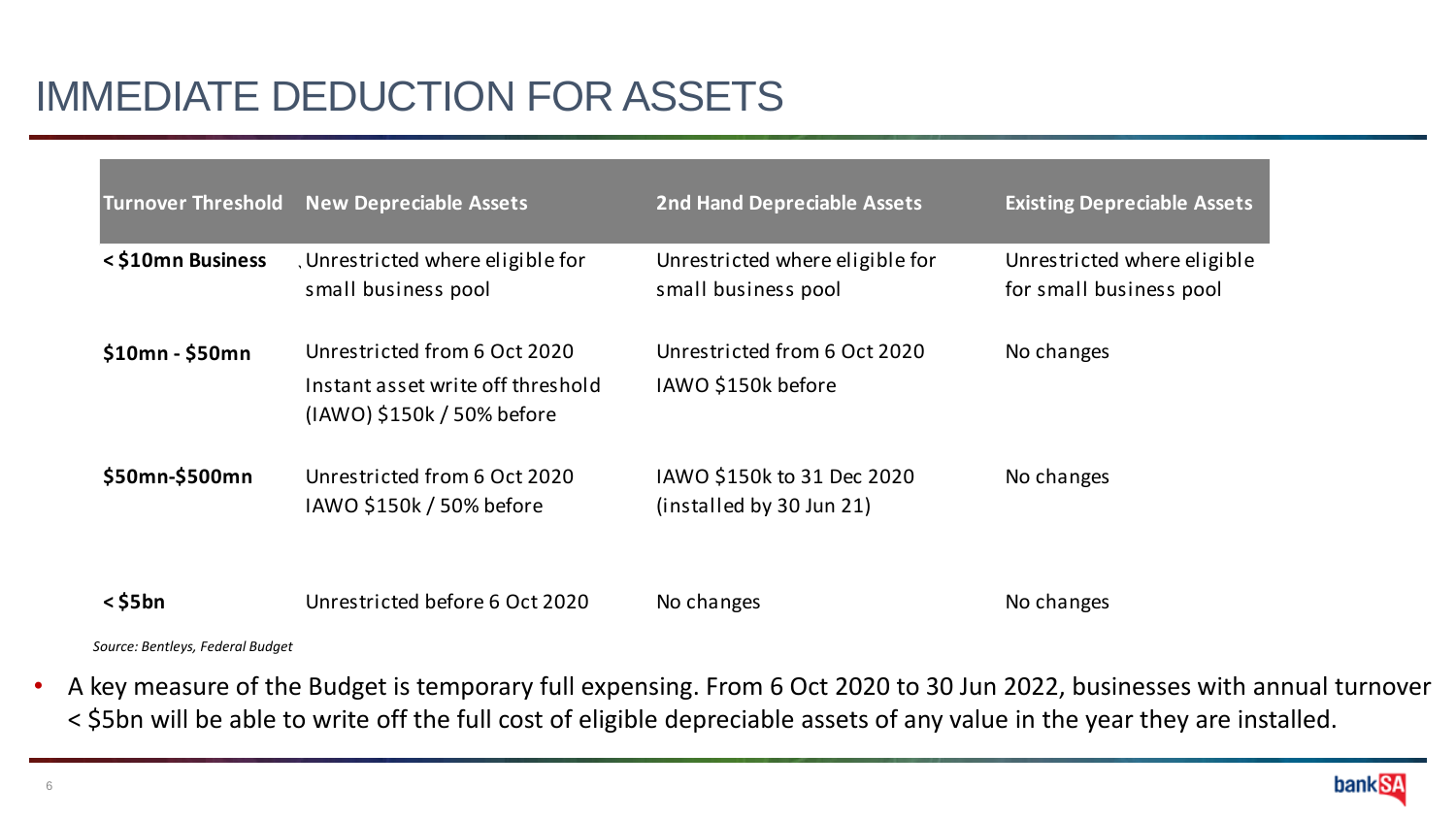# IMMEDIATE DEDUCTION FOR ASSETS

| <b>Turnover Threshold</b> | <b>New Depreciable Assets</b>                                                                   | <b>2nd Hand Depreciable Assets</b>                     | <b>Existing Depreciable Assets</b>                     |
|---------------------------|-------------------------------------------------------------------------------------------------|--------------------------------------------------------|--------------------------------------------------------|
| <\$10mn Business          | , Unrestricted where eligible for<br>small business pool                                        | Unrestricted where eligible for<br>small business pool | Unrestricted where eligible<br>for small business pool |
| $$10mn - $50mn$           | Unrestricted from 6 Oct 2020<br>Instant asset write off threshold<br>(IAWO) \$150k / 50% before | Unrestricted from 6 Oct 2020<br>IAWO \$150k before     | No changes                                             |
| \$50mn-\$500mn            | Unrestricted from 6 Oct 2020<br>IAWO \$150k / 50% before                                        | IAWO \$150k to 31 Dec 2020<br>(installed by 30 Jun 21) | No changes                                             |
| $<$ \$5 $bn$              | Unrestricted before 6 Oct 2020                                                                  | No changes                                             | No changes                                             |

*Source: Bentleys, Federal Budget*

• A key measure of the Budget is temporary full expensing. From 6 Oct 2020 to 30 Jun 2022, businesses with annual turnover < \$5bn will be able to write off the full cost of eligible depreciable assets of any value in the year they are installed.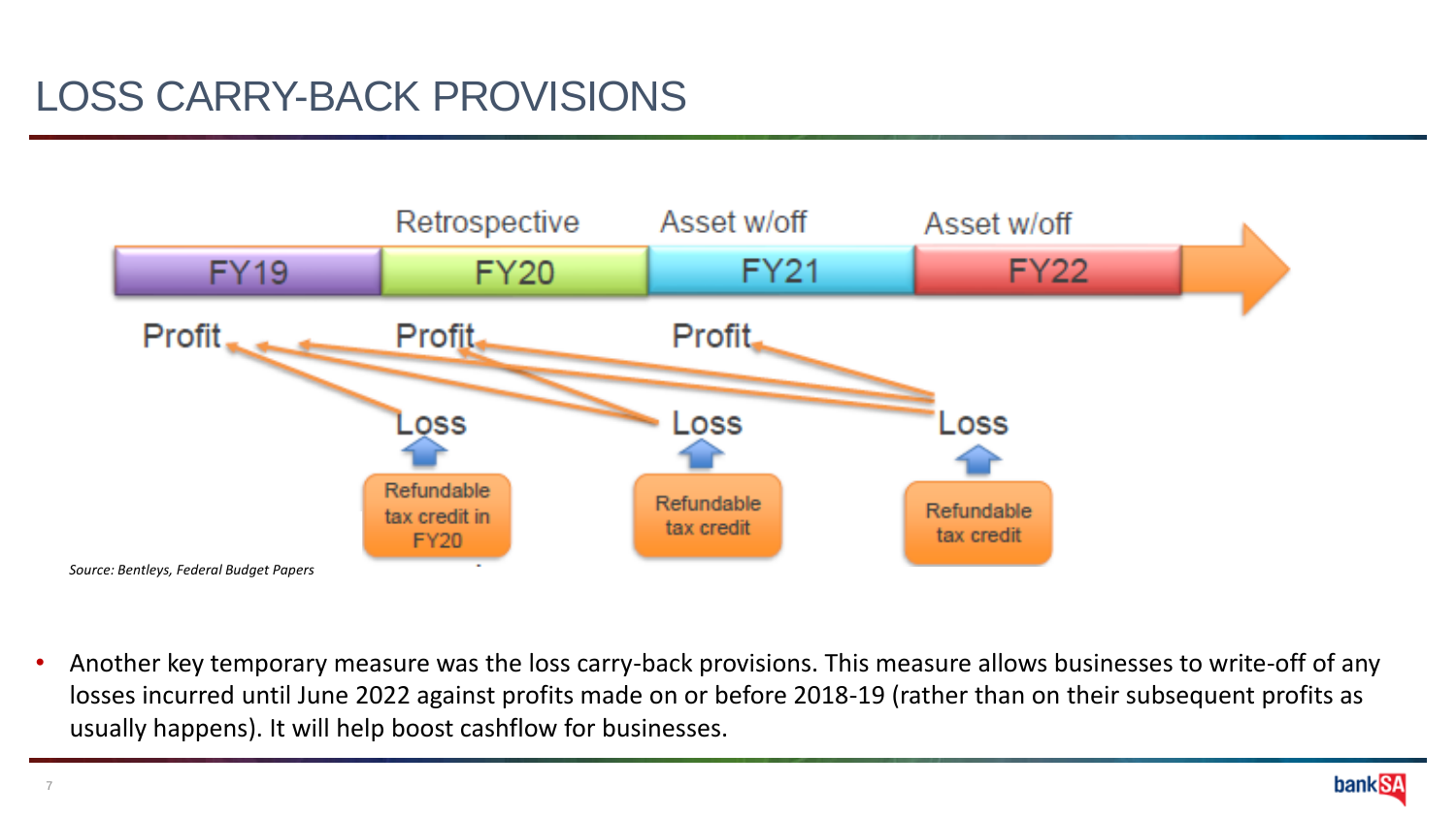### LOSS CARRY-BACK PROVISIONS



• Another key temporary measure was the loss carry-back provisions. This measure allows businesses to write-off of any losses incurred until June 2022 against profits made on or before 2018-19 (rather than on their subsequent profits as usually happens). It will help boost cashflow for businesses.

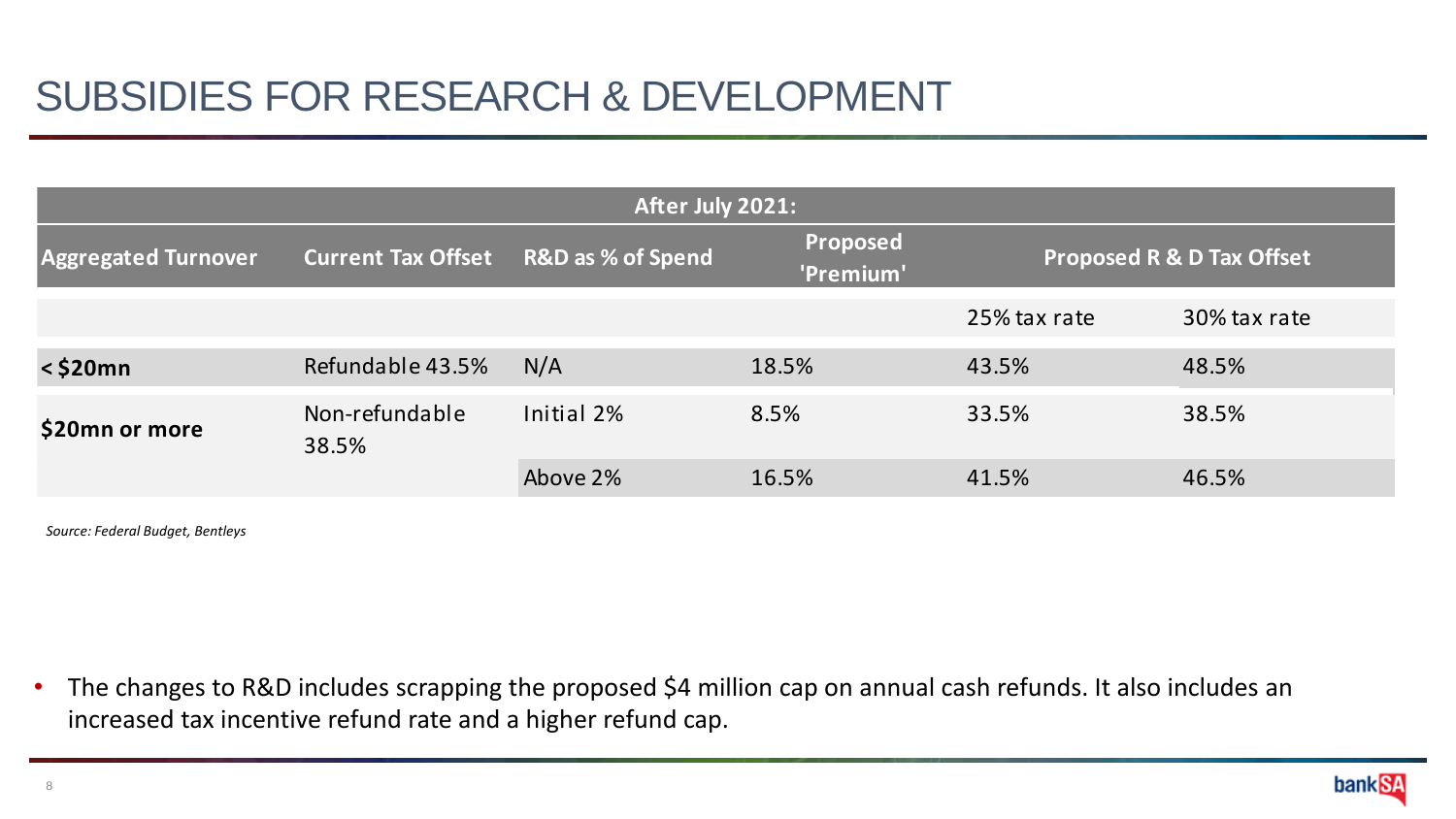### SUBSIDIES FOR RESEARCH & DEVELOPMENT

| After July 2021:           |                           |                              |                              |                                      |              |  |
|----------------------------|---------------------------|------------------------------|------------------------------|--------------------------------------|--------------|--|
| <b>Aggregated Turnover</b> | <b>Current Tax Offset</b> | <b>R&amp;D</b> as % of Spend | <b>Proposed</b><br>'Premium' | <b>Proposed R &amp; D Tax Offset</b> |              |  |
|                            |                           |                              |                              | 25% tax rate                         | 30% tax rate |  |
| $<$ \$20 $mn$              | Refundable 43.5%          | N/A                          | 18.5%                        | 43.5%                                | 48.5%        |  |
| \$20mn or more             | Non-refundable<br>38.5%   | Initial 2%                   | 8.5%                         | 33.5%                                | 38.5%        |  |
|                            |                           | Above 2%                     | 16.5%                        | 41.5%                                | 46.5%        |  |

*Source: Federal Budget, Bentleys*

• The changes to R&D includes scrapping the proposed \$4 million cap on annual cash refunds. It also includes an increased tax incentive refund rate and a higher refund cap.

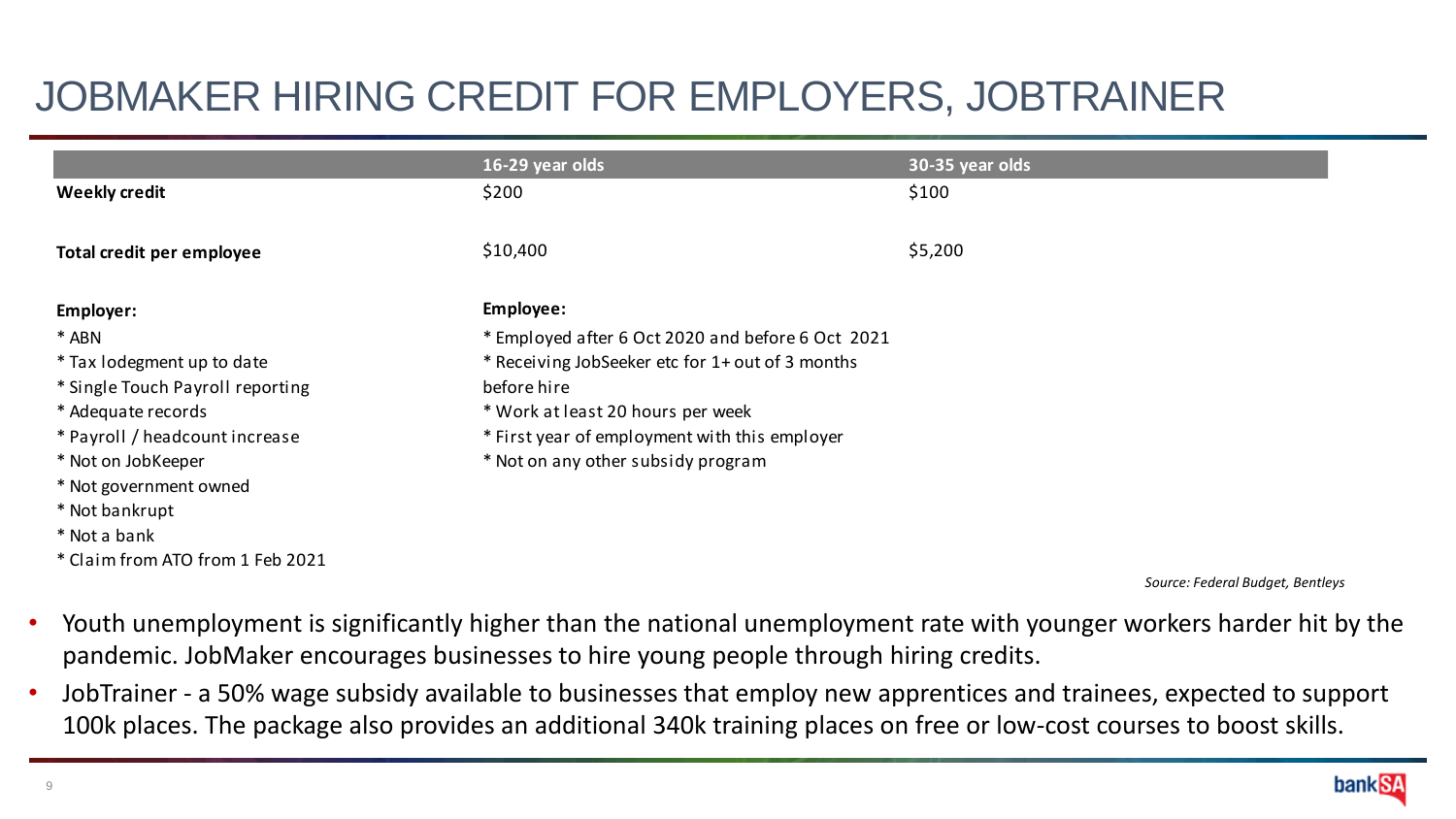| JOBMAKER HIRING CREDIT FOR EMPLOYERS, JOBTRAINER |                                                   |                 |  |  |  |  |
|--------------------------------------------------|---------------------------------------------------|-----------------|--|--|--|--|
|                                                  | 16-29 year olds                                   | 30-35 year olds |  |  |  |  |
| <b>Weekly credit</b>                             | \$200                                             | \$100           |  |  |  |  |
| Total credit per employee                        | \$10,400                                          | \$5,200         |  |  |  |  |
| Employer:                                        | Employee:                                         |                 |  |  |  |  |
| * ABN                                            | * Employed after 6 Oct 2020 and before 6 Oct 2021 |                 |  |  |  |  |
| * Tax lodegment up to date                       | * Receiving JobSeeker etc for 1+ out of 3 months  |                 |  |  |  |  |
| * Single Touch Payroll reporting                 | before hire                                       |                 |  |  |  |  |
| * Adequate records                               | * Work at least 20 hours per week                 |                 |  |  |  |  |
| * Payroll / headcount increase                   | * First year of employment with this employer     |                 |  |  |  |  |
| * Not on JobKeeper                               | * Not on any other subsidy program                |                 |  |  |  |  |
| * Not government owned                           |                                                   |                 |  |  |  |  |
| * Not bankrupt                                   |                                                   |                 |  |  |  |  |
| * Not a bank                                     |                                                   |                 |  |  |  |  |
| * Claim from ATO from 1 Feb 2021                 |                                                   |                 |  |  |  |  |

*Source: Federal Budget, Bentleys*

- Youth unemployment is significantly higher than the national unemployment rate with younger workers harder hit by the pandemic. JobMaker encourages businesses to hire young people through hiring credits.
- JobTrainer a 50% wage subsidy available to businesses that employ new apprentices and trainees, expected to support 100k places. The package also provides an additional 340k training places on free or low-cost courses to boost skills.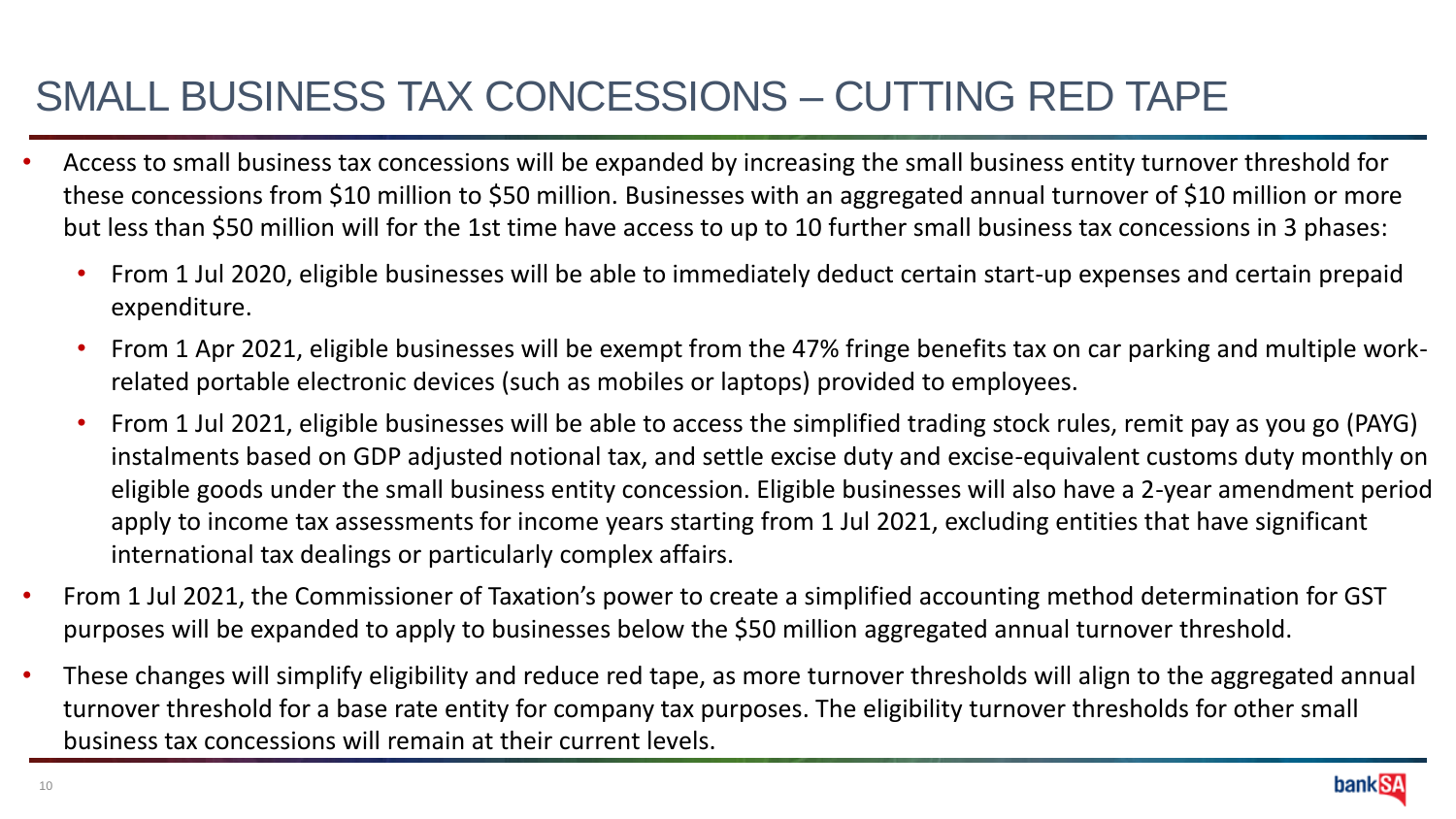### SMALL BUSINESS TAX CONCESSIONS – CUTTING RED TAPE

- Access to small business tax concessions will be expanded by increasing the small business entity turnover threshold for these concessions from \$10 million to \$50 million. Businesses with an aggregated annual turnover of \$10 million or more but less than \$50 million will for the 1st time have access to up to 10 further small business tax concessions in 3 phases:
	- From 1 Jul 2020, eligible businesses will be able to immediately deduct certain start-up expenses and certain prepaid expenditure.
	- From 1 Apr 2021, eligible businesses will be exempt from the 47% fringe benefits tax on car parking and multiple workrelated portable electronic devices (such as mobiles or laptops) provided to employees.
	- From 1 Jul 2021, eligible businesses will be able to access the simplified trading stock rules, remit pay as you go (PAYG) instalments based on GDP adjusted notional tax, and settle excise duty and excise-equivalent customs duty monthly on eligible goods under the small business entity concession. Eligible businesses will also have a 2-year amendment period apply to income tax assessments for income years starting from 1 Jul 2021, excluding entities that have significant international tax dealings or particularly complex affairs.
- From 1 Jul 2021, the Commissioner of Taxation's power to create a simplified accounting method determination for GST purposes will be expanded to apply to businesses below the \$50 million aggregated annual turnover threshold.
- These changes will simplify eligibility and reduce red tape, as more turnover thresholds will align to the aggregated annual turnover threshold for a base rate entity for company tax purposes. The eligibility turnover thresholds for other small business tax concessions will remain at their current levels.

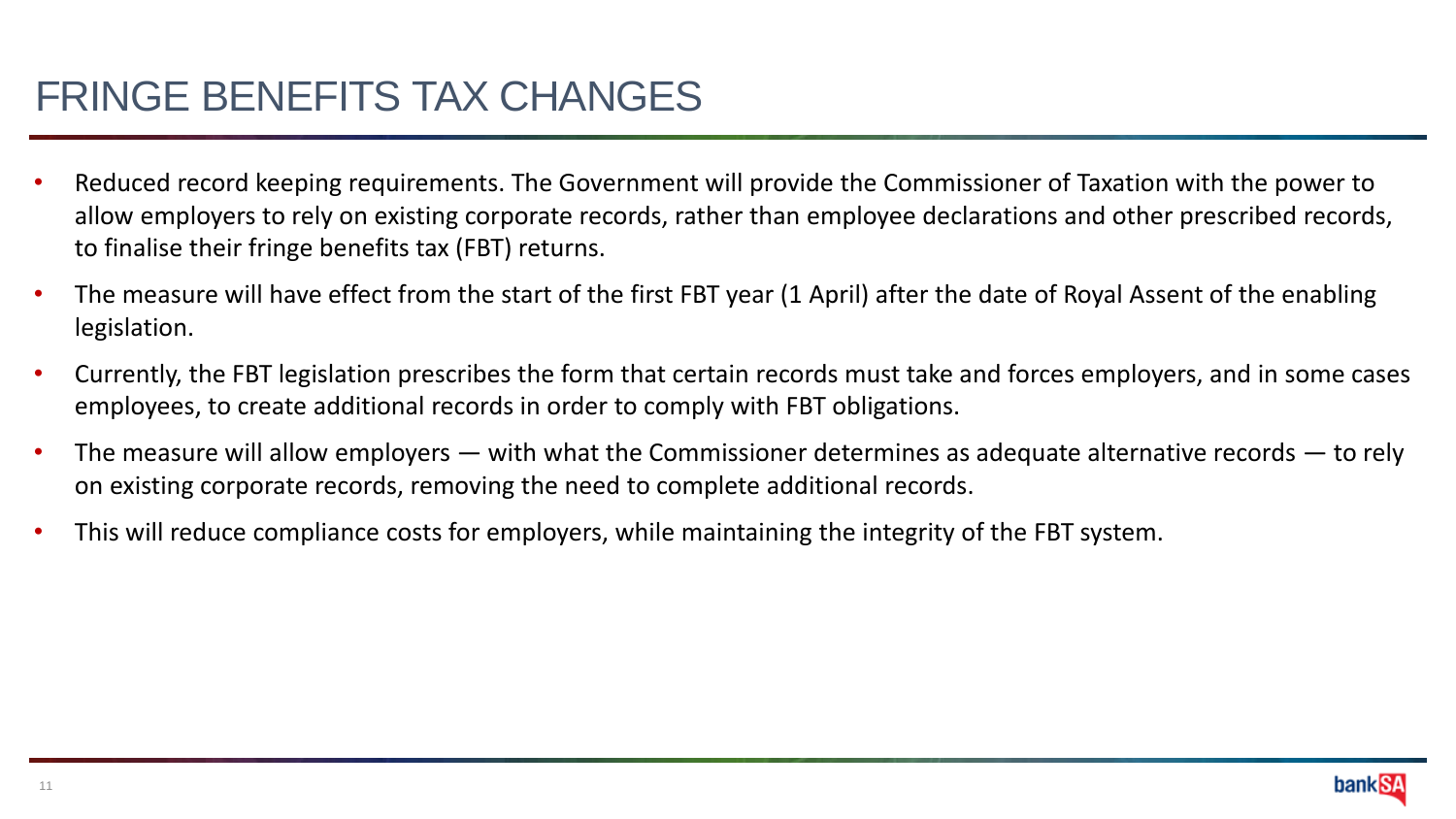#### FRINGE BENEFITS TAX CHANGES

- Reduced record keeping requirements. The Government will provide the Commissioner of Taxation with the power to allow employers to rely on existing corporate records, rather than employee declarations and other prescribed records, to finalise their fringe benefits tax (FBT) returns.
- The measure will have effect from the start of the first FBT year (1 April) after the date of Royal Assent of the enabling legislation.
- Currently, the FBT legislation prescribes the form that certain records must take and forces employers, and in some cases employees, to create additional records in order to comply with FBT obligations.
- The measure will allow employers  $-$  with what the Commissioner determines as adequate alternative records  $-$  to rely on existing corporate records, removing the need to complete additional records.
- This will reduce compliance costs for employers, while maintaining the integrity of the FBT system.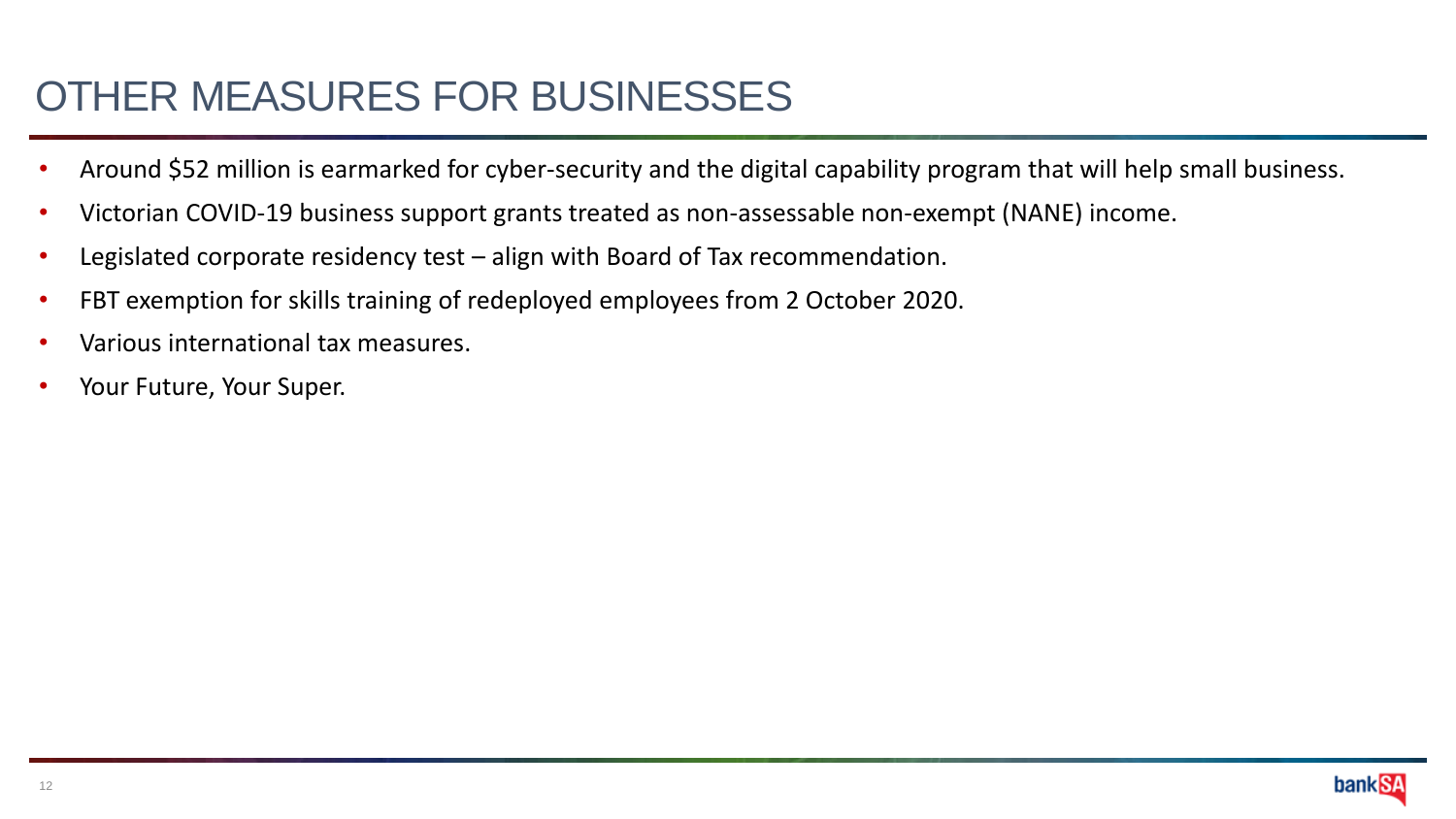### OTHER MEASURES FOR BUSINESSES

- Around \$52 million is earmarked for cyber-security and the digital capability program that will help small business.
- Victorian COVID-19 business support grants treated as non-assessable non-exempt (NANE) income.
- Legislated corporate residency test align with Board of Tax recommendation.
- FBT exemption for skills training of redeployed employees from 2 October 2020.
- Various international tax measures.
- Your Future, Your Super.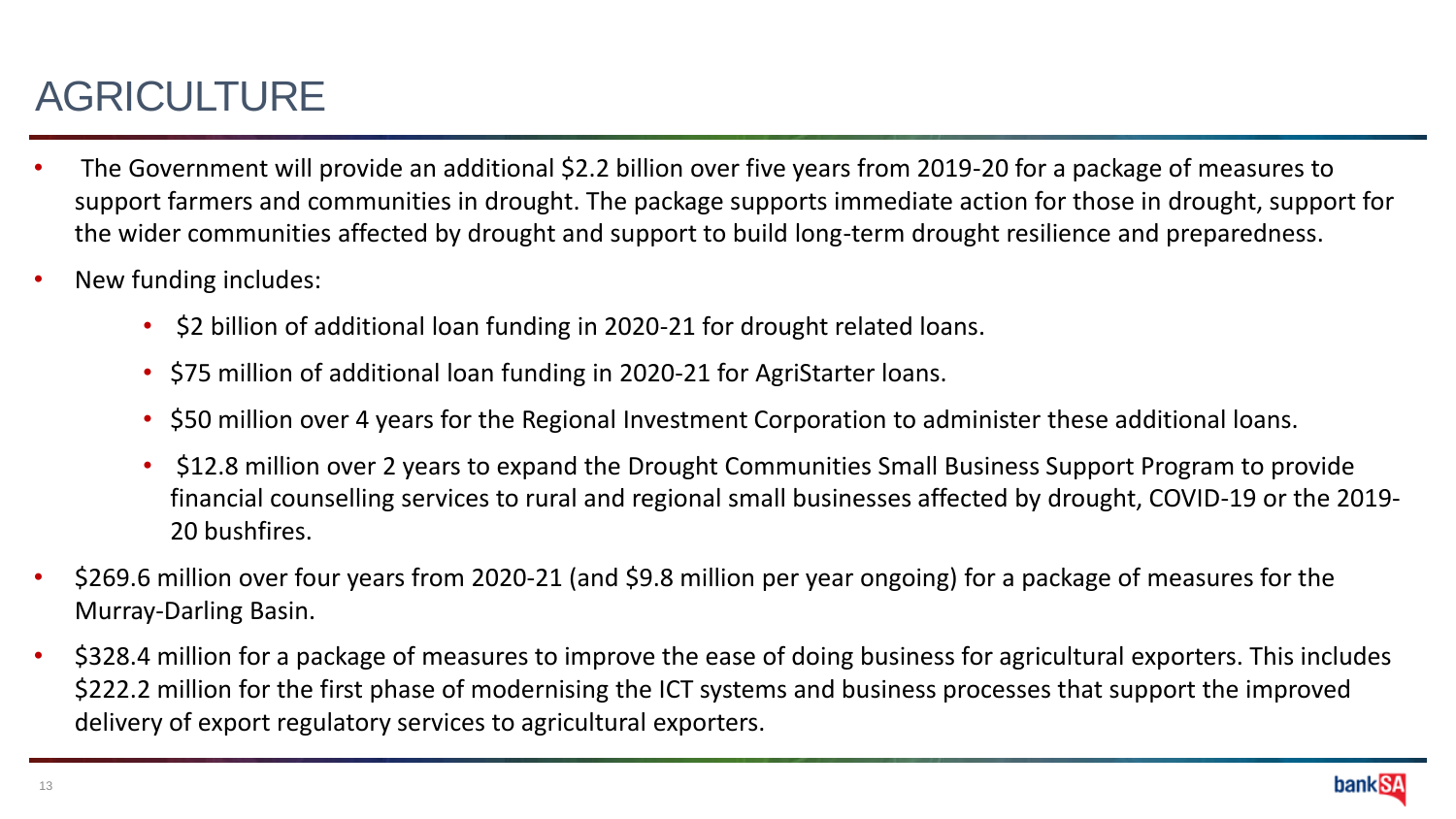# AGRICULTURE

- The Government will provide an additional \$2.2 billion over five years from 2019-20 for a package of measures to support farmers and communities in drought. The package supports immediate action for those in drought, support for the wider communities affected by drought and support to build long-term drought resilience and preparedness.
- New funding includes:
	- \$2 billion of additional loan funding in 2020-21 for drought related loans.
	- \$75 million of additional loan funding in 2020-21 for AgriStarter loans.
	- \$50 million over 4 years for the Regional Investment Corporation to administer these additional loans.
	- \$12.8 million over 2 years to expand the Drought Communities Small Business Support Program to provide financial counselling services to rural and regional small businesses affected by drought, COVID-19 or the 2019- 20 bushfires.
- \$269.6 million over four years from 2020-21 (and \$9.8 million per year ongoing) for a package of measures for the Murray-Darling Basin.
- \$328.4 million for a package of measures to improve the ease of doing business for agricultural exporters. This includes \$222.2 million for the first phase of modernising the ICT systems and business processes that support the improved delivery of export regulatory services to agricultural exporters.

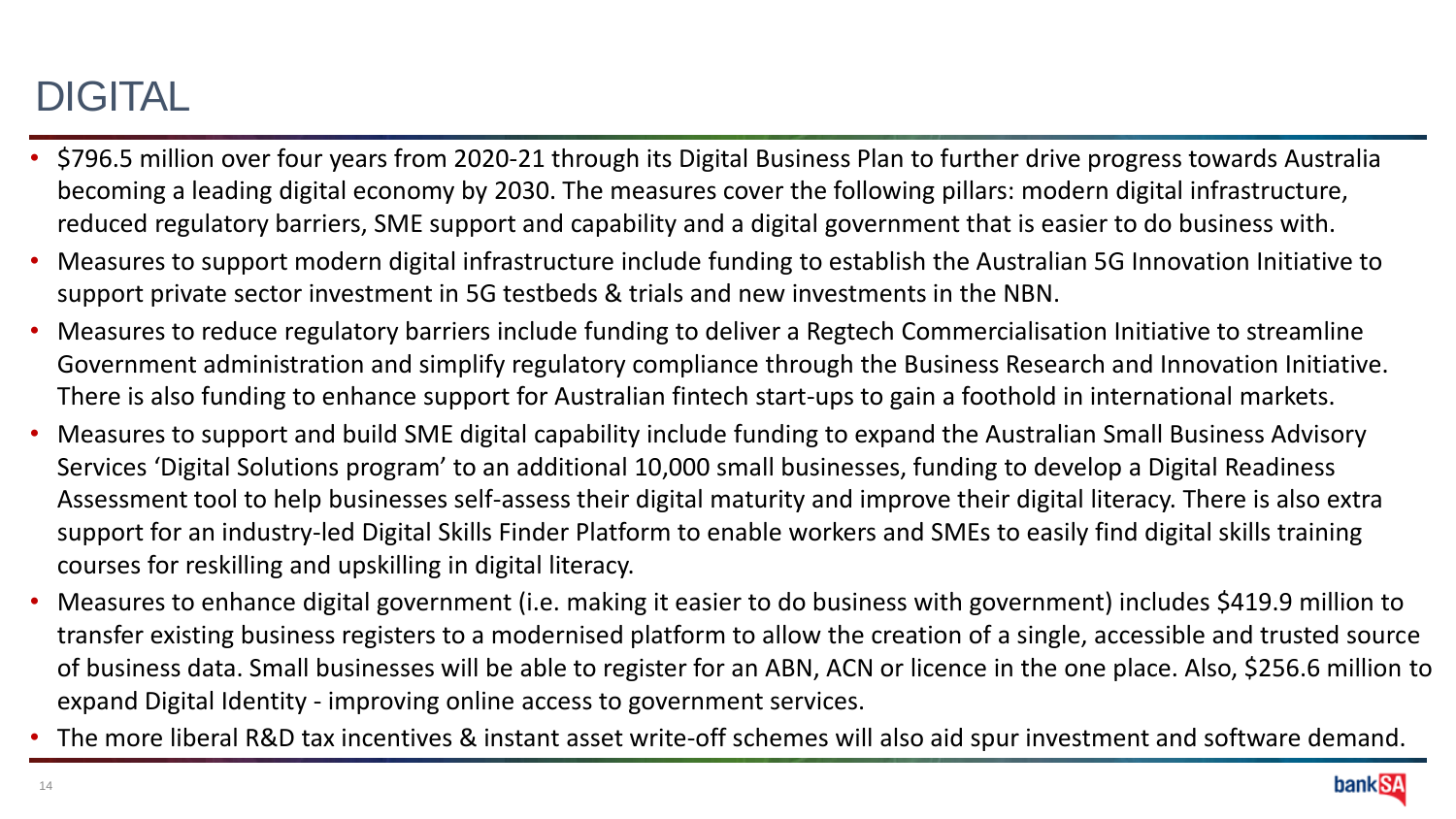# DIGITAL

- \$796.5 million over four years from 2020-21 through its Digital Business Plan to further drive progress towards Australia becoming a leading digital economy by 2030. The measures cover the following pillars: modern digital infrastructure, reduced regulatory barriers, SME support and capability and a digital government that is easier to do business with.
- Measures to support modern digital infrastructure include funding to establish the Australian 5G Innovation Initiative to support private sector investment in 5G testbeds & trials and new investments in the NBN.
- Measures to reduce regulatory barriers include funding to deliver a Regtech Commercialisation Initiative to streamline Government administration and simplify regulatory compliance through the Business Research and Innovation Initiative. There is also funding to enhance support for Australian fintech start-ups to gain a foothold in international markets.
- Measures to support and build SME digital capability include funding to expand the Australian Small Business Advisory Services 'Digital Solutions program' to an additional 10,000 small businesses, funding to develop a Digital Readiness Assessment tool to help businesses self-assess their digital maturity and improve their digital literacy. There is also extra support for an industry-led Digital Skills Finder Platform to enable workers and SMEs to easily find digital skills training courses for reskilling and upskilling in digital literacy.
- Measures to enhance digital government (i.e. making it easier to do business with government) includes \$419.9 million to transfer existing business registers to a modernised platform to allow the creation of a single, accessible and trusted source of business data. Small businesses will be able to register for an ABN, ACN or licence in the one place. Also, \$256.6 million to expand Digital Identity - improving online access to government services.
- The more liberal R&D tax incentives & instant asset write-off schemes will also aid spur investment and software demand.

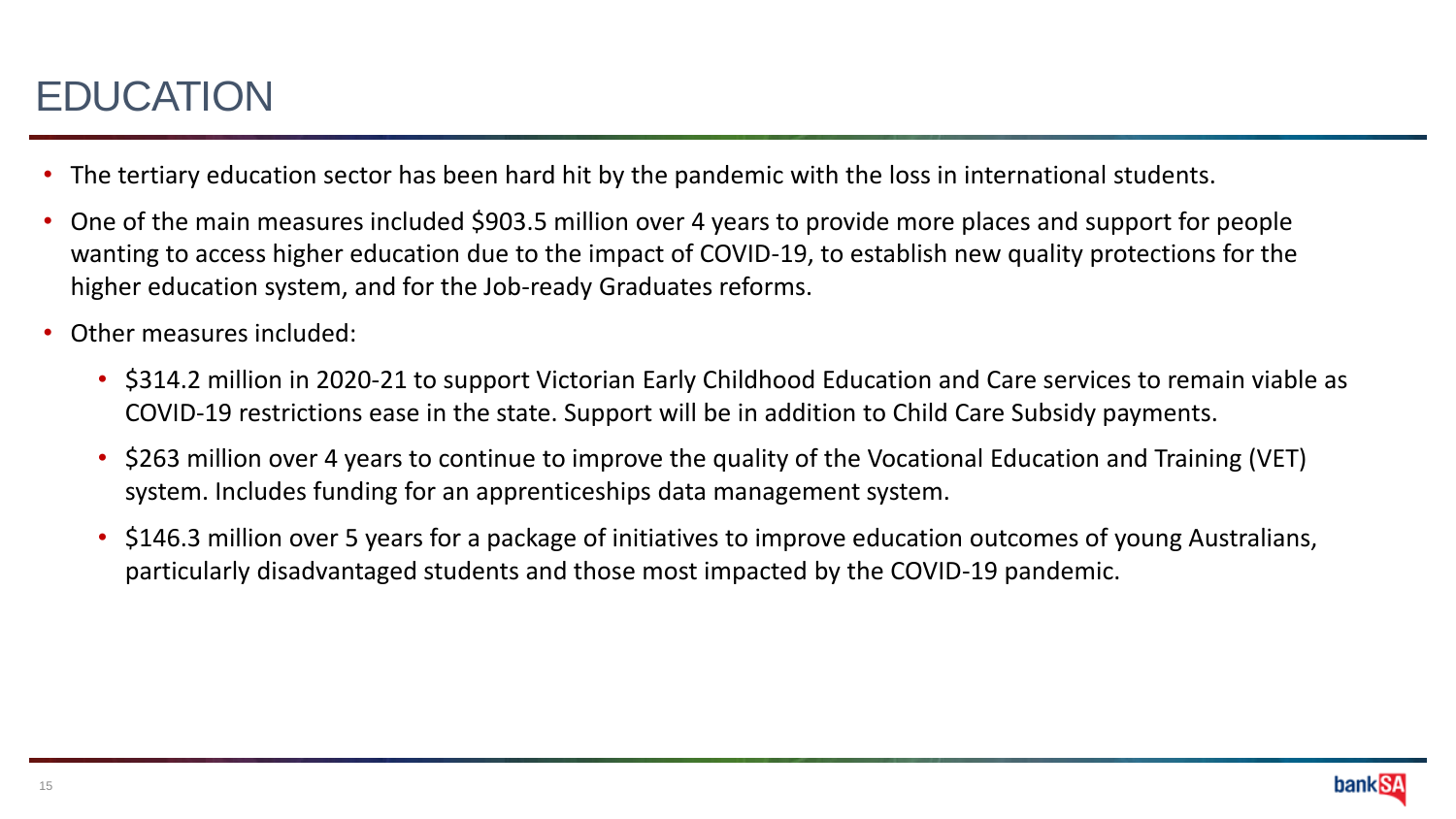### EDUCATION

- The tertiary education sector has been hard hit by the pandemic with the loss in international students.
- One of the main measures included \$903.5 million over 4 years to provide more places and support for people wanting to access higher education due to the impact of COVID-19, to establish new quality protections for the higher education system, and for the Job-ready Graduates reforms.
- Other measures included:
	- \$314.2 million in 2020-21 to support Victorian Early Childhood Education and Care services to remain viable as COVID-19 restrictions ease in the state. Support will be in addition to Child Care Subsidy payments.
	- \$263 million over 4 years to continue to improve the quality of the Vocational Education and Training (VET) system. Includes funding for an apprenticeships data management system.
	- \$146.3 million over 5 years for a package of initiatives to improve education outcomes of young Australians, particularly disadvantaged students and those most impacted by the COVID-19 pandemic.

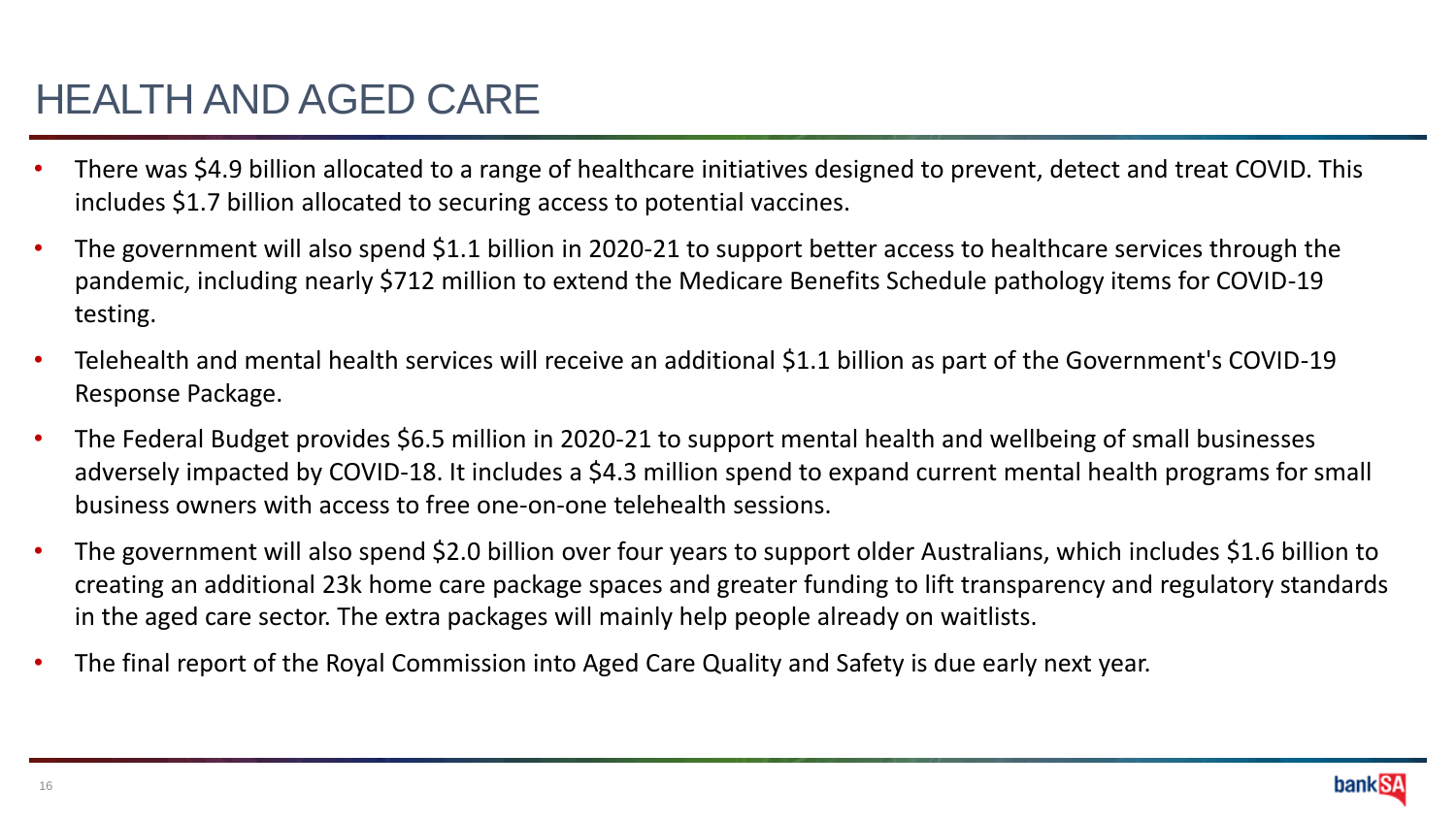### HEALTH AND AGED CARE

- There was \$4.9 billion allocated to a range of healthcare initiatives designed to prevent, detect and treat COVID. This includes \$1.7 billion allocated to securing access to potential vaccines.
- The government will also spend \$1.1 billion in 2020-21 to support better access to healthcare services through the pandemic, including nearly \$712 million to extend the Medicare Benefits Schedule pathology items for COVID-19 testing.
- Telehealth and mental health services will receive an additional \$1.1 billion as part of the Government's COVID-19 Response Package.
- The Federal Budget provides \$6.5 million in 2020-21 to support mental health and wellbeing of small businesses adversely impacted by COVID-18. It includes a \$4.3 million spend to expand current mental health programs for small business owners with access to free one-on-one telehealth sessions.
- The government will also spend \$2.0 billion over four years to support older Australians, which includes \$1.6 billion to creating an additional 23k home care package spaces and greater funding to lift transparency and regulatory standards in the aged care sector. The extra packages will mainly help people already on waitlists.
- The final report of the Royal Commission into Aged Care Quality and Safety is due early next year.

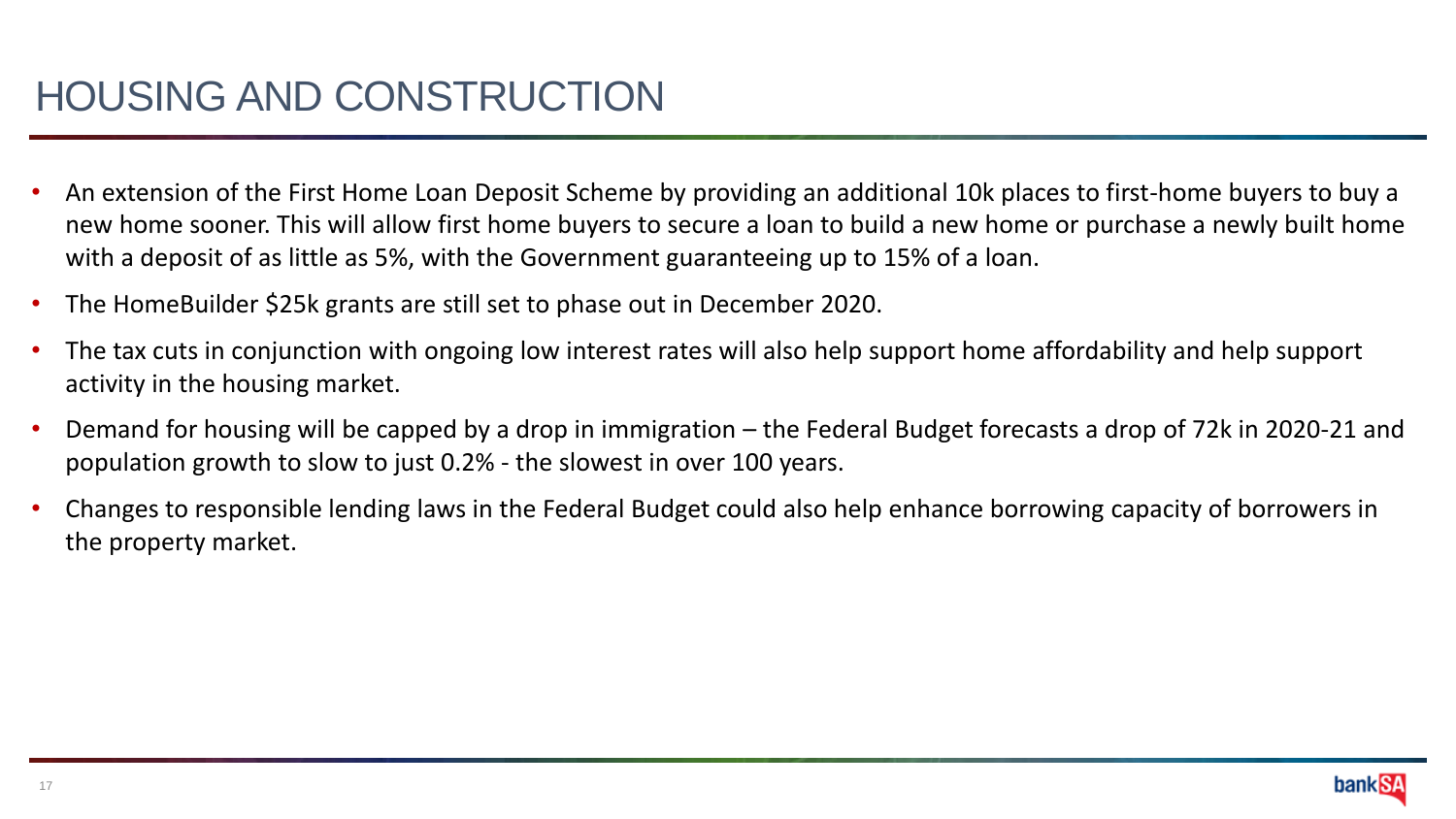- An extension of the First Home Loan Deposit Scheme by providing an additional 10k places to first-home buyers to buy a new home sooner. This will allow first home buyers to secure a loan to build a new home or purchase a newly built home with a deposit of as little as 5%, with the Government guaranteeing up to 15% of a loan.
- The HomeBuilder \$25k grants are still set to phase out in December 2020.
- The tax cuts in conjunction with ongoing low interest rates will also help support home affordability and help support activity in the housing market.
- Demand for housing will be capped by a drop in immigration the Federal Budget forecasts a drop of 72k in 2020-21 and population growth to slow to just 0.2% - the slowest in over 100 years.
- Changes to responsible lending laws in the Federal Budget could also help enhance borrowing capacity of borrowers in the property market.

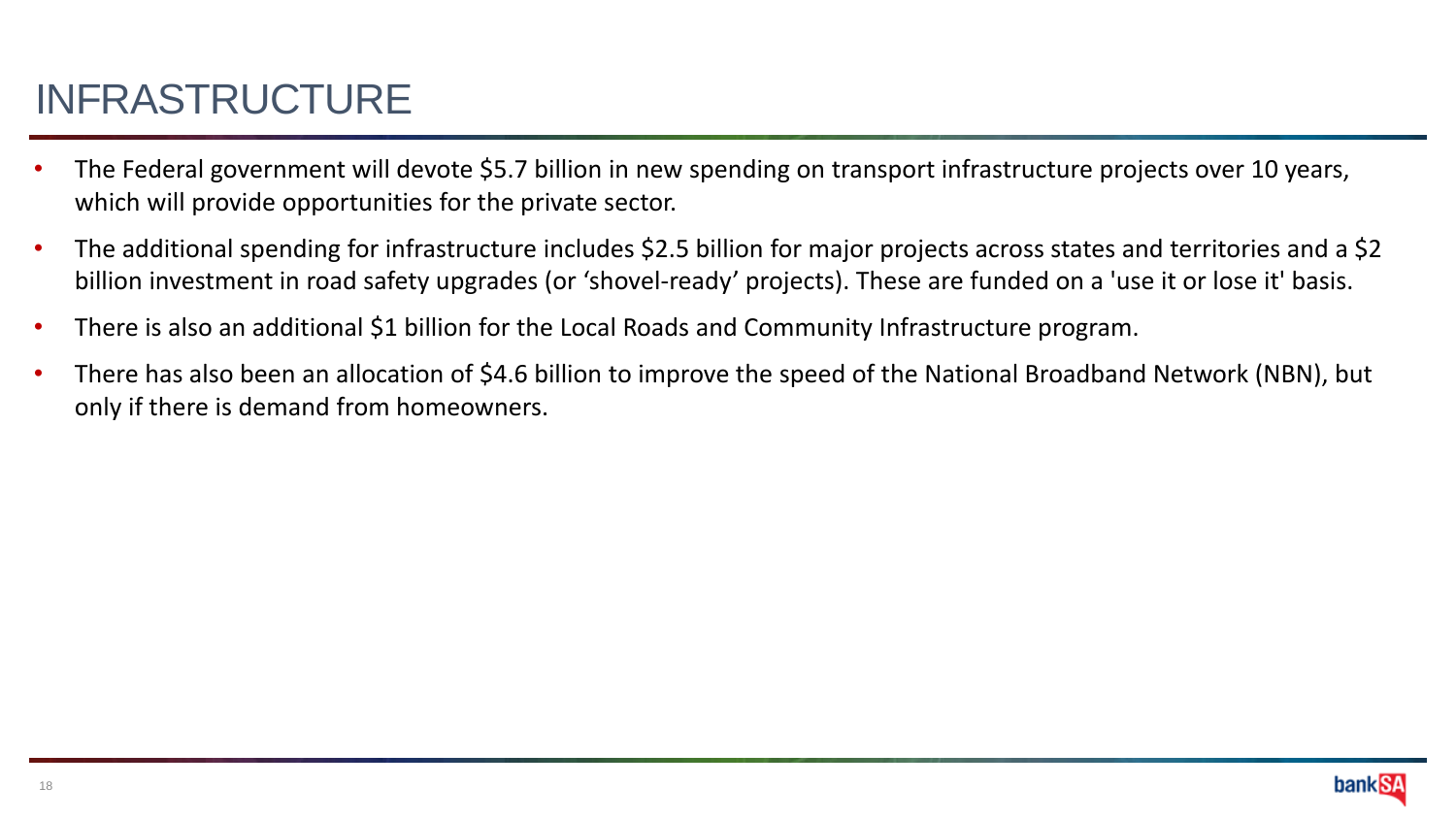# INFRASTRUCTURE

- The Federal government will devote \$5.7 billion in new spending on transport infrastructure projects over 10 years, which will provide opportunities for the private sector.
- The additional spending for infrastructure includes \$2.5 billion for major projects across states and territories and a \$2 billion investment in road safety upgrades (or 'shovel-ready' projects). These are funded on a 'use it or lose it' basis.
- There is also an additional \$1 billion for the Local Roads and Community Infrastructure program.
- There has also been an allocation of \$4.6 billion to improve the speed of the National Broadband Network (NBN), but only if there is demand from homeowners.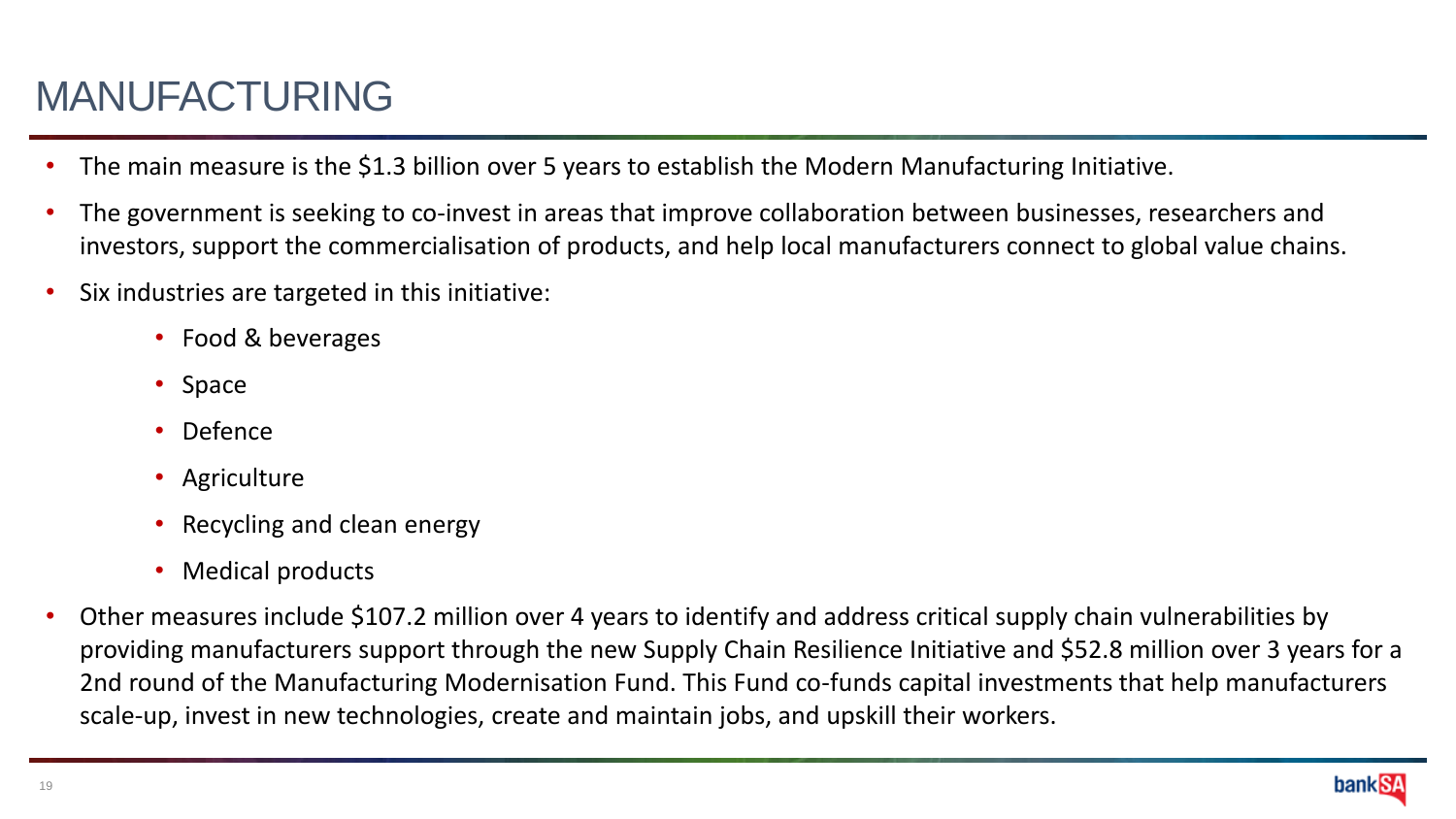# MANUFACTURING

- The main measure is the \$1.3 billion over 5 years to establish the Modern Manufacturing Initiative.
- The government is seeking to co-invest in areas that improve collaboration between businesses, researchers and investors, support the commercialisation of products, and help local manufacturers connect to global value chains.
- Six industries are targeted in this initiative:
	- Food & beverages
	- Space
	- Defence
	- Agriculture
	- Recycling and clean energy
	- Medical products
- Other measures include \$107.2 million over 4 years to identify and address critical supply chain vulnerabilities by providing manufacturers support through the new Supply Chain Resilience Initiative and \$52.8 million over 3 years for a 2nd round of the Manufacturing Modernisation Fund. This Fund co-funds capital investments that help manufacturers scale-up, invest in new technologies, create and maintain jobs, and upskill their workers.

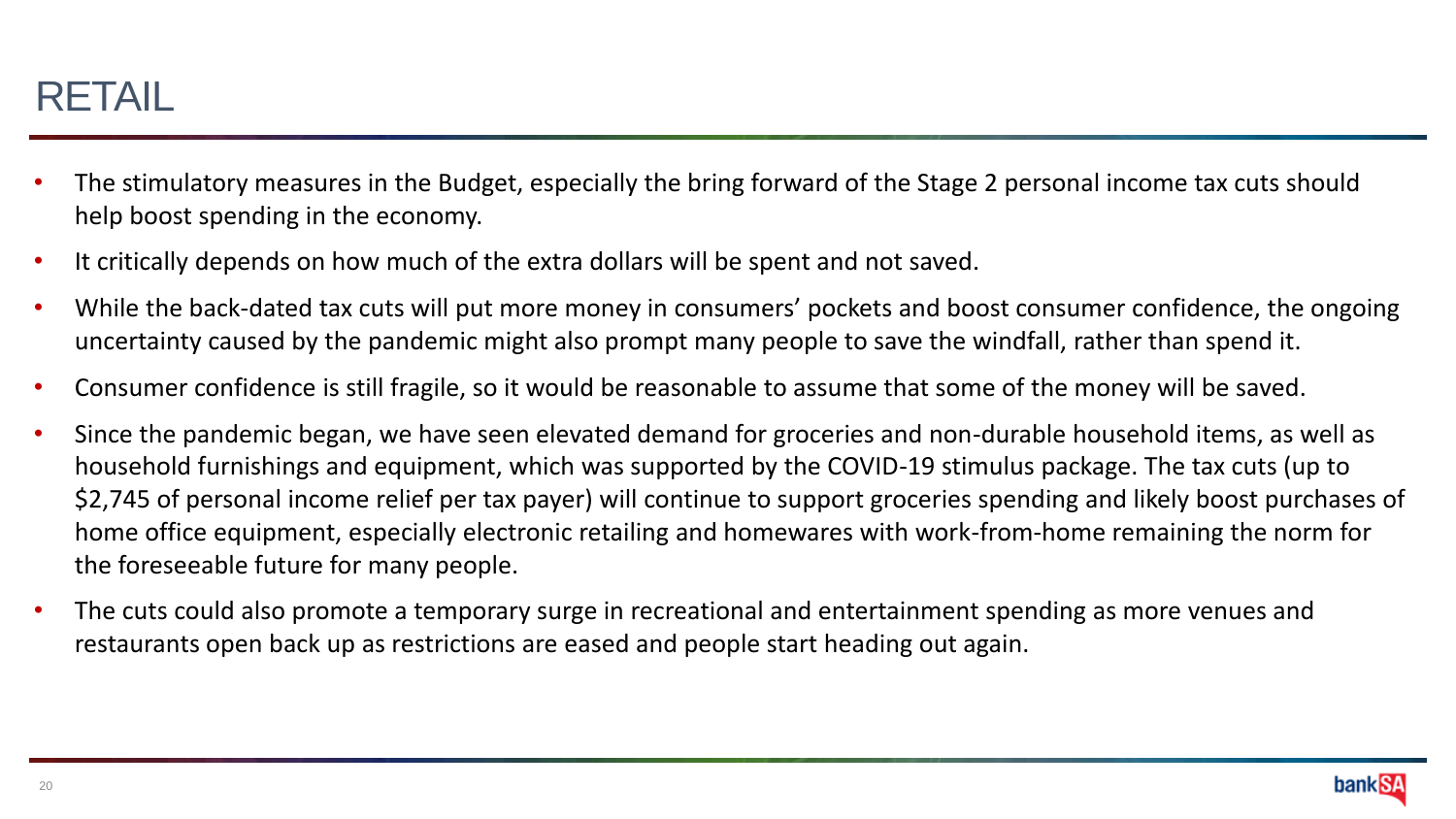#### RETAIL

- The stimulatory measures in the Budget, especially the bring forward of the Stage 2 personal income tax cuts should help boost spending in the economy.
- It critically depends on how much of the extra dollars will be spent and not saved.
- While the back-dated tax cuts will put more money in consumers' pockets and boost consumer confidence, the ongoing uncertainty caused by the pandemic might also prompt many people to save the windfall, rather than spend it.
- Consumer confidence is still fragile, so it would be reasonable to assume that some of the money will be saved.
- Since the pandemic began, we have seen elevated demand for groceries and non-durable household items, as well as household furnishings and equipment, which was supported by the COVID-19 stimulus package. The tax cuts (up to \$2,745 of personal income relief per tax payer) will continue to support groceries spending and likely boost purchases of home office equipment, especially electronic retailing and homewares with work-from-home remaining the norm for the foreseeable future for many people.
- The cuts could also promote a temporary surge in recreational and entertainment spending as more venues and restaurants open back up as restrictions are eased and people start heading out again.

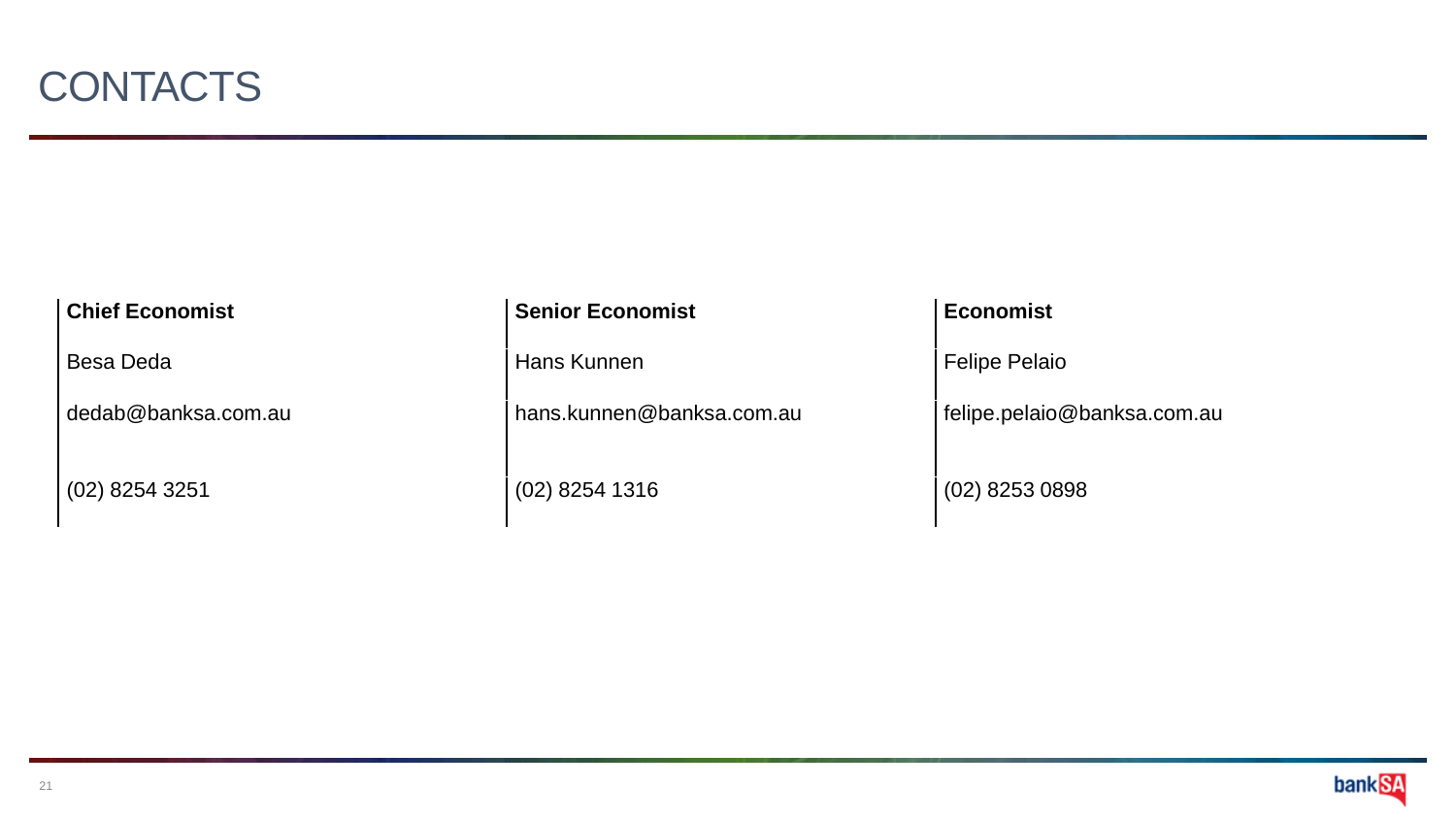

 $(02)$  8254 3251  $(02)$  8254 1316  $(03)$  8253 0898

#### **Chief Economist Senior Economist Economist Economist**

Besa Deda **Hans Kunnen** Felipe Pelaio

dedab@banksa.com.au hans.kunnen@banksa.com.au felipe.pelaio@banksa.com.au